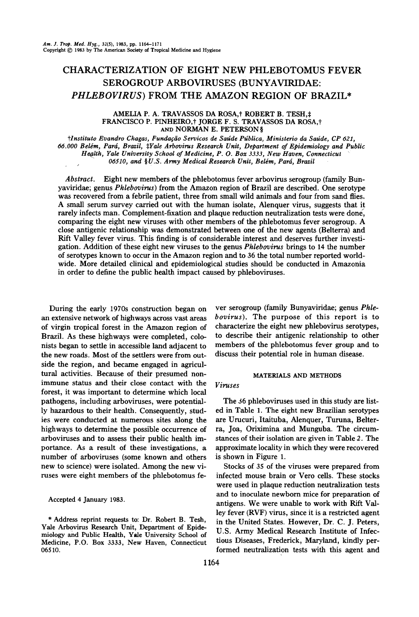# CHARACTERIZATION OF EIGHT NEW PHLEBOTOMUS FEVER SEROGROUP ARBOVIRUSES (BUNYAVIRIDAE: PHLEBOVIRUS) FROM THE AMAZON REGION OF BRAZIL\*

### AMELIA P. A. TRAVASSOS DA ROSA,<sup>†</sup> ROBERT B. TESH,‡ FRANCISCO P. PINHEIRO,<sup>†</sup> JORGE F. S. TRAVASSOS DA ROSA,† AND NORMAN E. PETERSON §

tlnstituto Evandro Chagas, Fundação Servicos de Saúde Pública, Ministerio da Saúde, CP 621, 66.000 Belém, Pará, Brazil, #Yale Arbovirus Research Unit, Department of Epidemiology and Public Health, Yale University School of Medicine, P. O. Box 3333, New Haven, Connecticut 06510, and §U.S. Army Medical Research Unit, Belém, Pará, Brazil

Abstract. Eight new members of the phlebotomus fever arbovirus serogroup (family Bunyaviridae; genus Phlebovirus) from the Amazon region of Brazil are described. One serotype was recovered from a febrile patient, three from small wild animals and four from sand flies. A smaII serum survey carried out with the human isolare, Alenquer virus, suggests that it rarely infects man. Complement-fixation and plaque reduction neutralization tests were done, comparing the eight new viruses with other members of the phlebotomus rever serogroup. A close antigenic relationship was demonstrated between one of the new agents (Belterra) and Rift VaIley rever virus. This finding is of considerable interest and deserves further investigation. Addition of these eight new viruses to the genus *Phlebovirus* brings to 14 the number of serotypes known to occur in the Amazon region and to 36 the total number reportedworldwide. More detailed clinicaI and epidemiologicaI studies should be conducted in Amazonia in arder to define the public heaIth impact caused by phleboviruses.

During the early 1970s construction began on an extensive network of highways across vast areas of virgin tropical forest in the Amazon region of Brazil. As these highways were completed, colonists began to settle in accessible land adjacent to the new roads. Most of the settlers were from outside the region, and became engaged in agricultural activities. Because of their presumed nonimmune status and their close contact with the forest, it was important to determine which local pathogens, including arboviruses, were potentially hazardous to their health. Consequently, studies were conducted at numerous sites along the highways to determine the possible occurrence of arboviruses and to assess their public health importance. As a result of these investigations, a number of arboviruses (some known and others new to science) were isolated. Among the new viruses were eight members of the phlebotomus fe-

Accepted 4 January 1983.

\* Address reprint requests to: Dr. Robert B. Tesh, Vale Arbovirus Research Unit, Department oí Epidemiology and Public Health, Vale University School oí Medicine, P.O. Box 3333, New Haven, Connecticut 06510.

ver serogroup (family Bunyaviridae; genus Phlebovirus). The purpose of this report is to characterize the eight new phlebovirus serotypes, to describe their antigenic relationship to other members of the phlebotomus fever group and to discuss their potential role in human disease.

#### MATERIALS AND METHODS

# Viruses

The 36 phleboviruses used in this study are listed in Table 1. The eight new Brazilian serotypes are Urucuri, Itaituba, Alenquer, Turuna, Belterra, Joa, Oriximina and Munguba. The circumstances of their isolation are given in Table 2. The approximate locality in which they were recovered is shown in Figure 1.

Stocks of 35 oí the viruses were prepared from infected mouse brain or Vero cells. These stocks were used in plaque reduction neutralization tests and to inoculate newborn mice for preparation of antigens. We were unable to work with Rift Valley fever  $(RVF)$  virus, since it is a restricted agent in the Vnited States. However, Dr. C. J. Peters, V.S. Army Medical Research Institute of Infectious Diseases, Frederick, Maryland, kindly performed neutralization tests with this agent and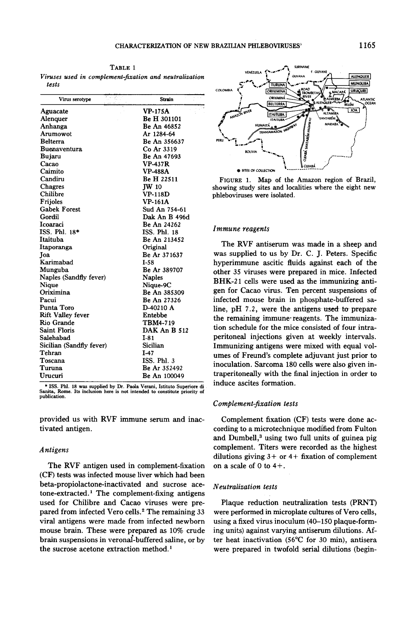.o

TABLE 1 Viruses used in complement-fixation and neutralization tests

| Virus serotype           | Strain              |
|--------------------------|---------------------|
| Aguacate                 | <b>VP-175A</b>      |
| Alenquer                 | <b>Be H 301101</b>  |
| Anhanga                  | Be An 46852         |
| Arumowot                 | Ar 1284-64          |
| <b>Belterra</b>          | Be An 356637        |
| <b>Buenaventura</b>      | Co Ar 3319          |
| Bujaru                   | Be An 47693         |
| Cacao                    | <b>VP-437R</b>      |
| Caimito                  | <b>VP-488A</b>      |
| Candiru                  | Be H 22511          |
| Chagres                  | <b>IW 10</b>        |
| Chilibre                 | $VP-118D$           |
| Frijoles                 | <b>VP-161A</b>      |
| <b>Gabek Forest</b>      | Sud An 754-61       |
| Gordil                   | Dak An B 496d       |
| Icoaraci                 | <b>Be An 24262</b>  |
| ISS. Phl. 18*            | ISS. Phl. 18        |
| Itaituba                 | Be An 213452        |
| Itaporanga               | Original            |
| Joa                      | Be Ar 371637        |
| Karimabad                | $I-58$              |
| Munguba                  | Be Ar 389707        |
| Naples (Sandfly fever)   | <b>Naples</b>       |
| Nique                    | Nique-9C            |
| Oriximina                | Be An 385309        |
| Pacui                    | Be An 27326         |
| Punta Toro               | D-40210 A           |
| <b>Rift Valley fever</b> | Entebbe             |
| Rio Grande               | TBM4-719            |
| <b>Saint Floris</b>      | DAK An B 512        |
| Salehabad                | I-81                |
| Sicilian (Sandfly fever) | Sicilian            |
| Tehran                   | I-47                |
| Toscana                  | ISS. Phl. 3         |
| Turuna                   | Be Ar 352492        |
| Urucuri                  | <b>Be An 100049</b> |

.ISSo Phl. 18 was supplied by Dr. PaoIa Verani, Istitulo Superiore di Sanita, Rome. Its inclusion here is not intended to constitute priority of publication.

provided us with RVF immune serum and inactivated antigen.

# Antigens

The RVF antigen used in complement-fixation (CF) tests was infected mouse liver which had been beta-propiolactone-inactivated and sucrose acetone-extracted.<sup>1</sup> The complement-fixing antigens used for Chilibre and Cacao viruses were prepared from infected Vero cells.2 The remaining 33 viral antigens were made from infected newborn mouse brain. These were prepared as 10% crude brain suspensions in veronal'-buffered saline, or by the sucrose acetone extraction method.<sup>1</sup>



FIGURE 1. Map of the Amazon region of Brazil, showing study sites and localities where the eight new phleboviruses were isolated.

### Immune reagents

The RVF antiserum was made in a sheep and was supplied to us by Dr. C. J. Peters. Specific hyperimmune ascitic fiuids against each of the other 35 viruses were prepared in mice. Infected BHK-21 cells were used as the immunizing antigen for Cacao virus. Ten percent suspensions of infected mouse brain in phosphate-buffered saline, pH  $7.2$ , were the antigens used to prepare the remaining immune reagents. The immunization schedule for the mice consisted of four intraperitoneal injections given at weekly intervals. Immunizing antigens were mixed with equal volumes of Freund's complete adjuvant just prior to inoculation. Sarcoma 180 cells were also given intraperitoneally with the final injection in order to induce ascites formation.

### Complement-fixation tests

Complement fixation (CF) tests were done according to a microtechnique modÍfied from Fulton and Dumbell,<sup>3</sup> using two full units of guinea pig complement. Titers were recorded as the highest dilutions giving  $3+$  or  $4+$  fixation of complement on a scale of 0 to  $4+$ .

#### N eutralization tests

Plaque reduction neutralization tests (PRNT) were performed in microplate cultures of Vero cells, using a fixed virus inoculum (40-150 plaque-forming units) against varying antiserum dilutions. After heat inactivation (56°C for 30 min), antisera were prepared in twofold serial dilutions (begin-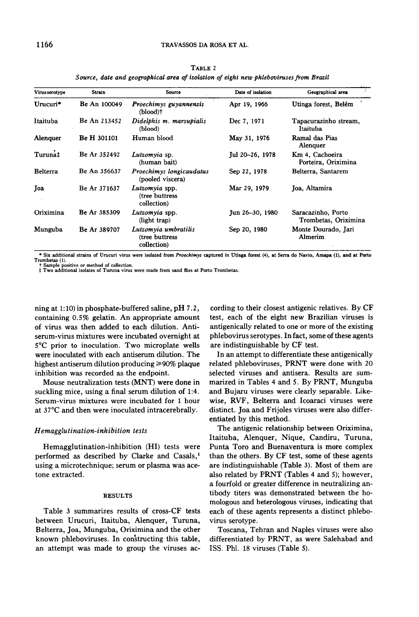## 1166 TRAVASSOS DA ROSA ET AL.

| Virus serotype | Strain             | <b>Source</b>                                          | Date of isolation | 34 L<br>Geographical area                  |
|----------------|--------------------|--------------------------------------------------------|-------------------|--------------------------------------------|
| Urucuri*       | Be An 100049       | Proechimys guyannensis<br>(blood)†                     | Apr 19, 1966      | Utinga forest, Belém                       |
| Itaituba       | Be An 213452       | Didelphis m. marsupialis<br>(blood)                    | Dec 7, 1971       | Tapacurazinho stream,<br>Itaituba          |
| Alenguer       | <b>Be H 301101</b> | Human blood                                            | May 31, 1976      | Ramal das Pias<br>Alenquer                 |
| Turuna‡        | Be Ar 352492       | Lutzomvia sp.<br>(human bait)                          | Jul 20-26, 1978   | Km 4, Cachoeira<br>Porteira, Oriximina     |
| Belterra       | Be An 356637       | Proechimys longicaudatus<br>(pooled viscera)           | Sep 22, 1978      | Belterra, Santarem                         |
| Joa            | Be Ar 371637       | Lutzomvia spp.<br>(tree buttress<br>collection)        | Mar 29, 1979      | Joa, Altamira                              |
| Oriximina      | Be Ar 385309       | Lutzomyia spp.<br>(light trap)                         | Jun 26-30, 1980   | Saracazinho, Porto<br>Trombetas, Oriximina |
| Munguba        | Be Ar 389707       | Lutzomyia umbratilis<br>(tree buttress)<br>collection) | Sep 20, 1980      | Monte Dourado, Jari<br><b>Almerim</b>      |

TABLE 2 Source, date and geographical area of isolation of eight new phlebovirusesfrom Brazil

\* Six additional strains of Urucuri virus were isolated from Proechimys captured in Utinga forest (4), at Serra do Navio, Amapa (1), and at Porto Trombetas (1). t Sample positivo or method of collection. j: Two additional isolares of Turuna virus were made from sand fties at Porto Trombetas.

ning at 1:10) in phosphate-buffered saline, pH 7.2, containing 0.5% gelatin. An appropriate amount of virus was tben added to each dilution. Antiserum-virus mixtures were incubated overnight at 5°C prior to inoculation. Two microplate wells were inoculated witb each antiserum dilution. The highest antiserum dilution producing  $\geq 90\%$  plaque inhibition was recorded as the endpoint.

Mouse neutralization tests (MNT) were done in suckling mice, using a final serum dilution of 1:4. Serum-virus mixtures were incubated for 1 hour at 37°C and tben were inoculated intracerebrally.

#### H emagglutination-inhibition tests

Hemagglutination-inhibition (HI) tests were performed as described by Clarke and Casals,<sup>1</sup> using a microtechnique; serum or plasma was acetone extracted.

# RESULTS

Table 3 summarizes results of cross-CF tests between Urucuri, ltaituba, Alenquer, Turuna, Belterra, Joa, Munguba, Oriximina and the other known phleboviruses. In constructing this table, an attempt was made to group the viruses ac-

cording to their closest antigenic relatives. By CF test, each of the eight new Brazilian viruses is antigenically related to one or more of the existing phlebovirus serotypes. In fact, some of these agents are indistinguishable by CF test.

In an attempt to differentiate these antigenically related phleboviruses, PRNT were done with 20 selected viruses and antisera. Results are summarized in Tables 4 and 5. By PRNT, Munguba and Bujaru viruses were clearly separable. Likewise, RVF, Belterra and Icoaraci viruses were distinct. Joa and Frijoles viruses were also differentiated by this method.

The antigenic relationship between Oriximina, Itaituba, Alenquer, Nique, Candiru, Turuna, Punta Toro and Buenaventura is more complex than the others. By CF test, some of these agents are indistinguishable (Table 3). Most of them are also related by PRNT (Tables 4 and 5); however, a fourfold or greater difference in neutralizing antibody titers was demonstrated between the homologous and heterologous viroses, indicating that each of these agents represents a distinct phlebovírus serotype.

Toscana, Tehran and Naples viruses were also differentiated by PRNT, as were Salehabad and ISS. Phl. 18 viruses (Table 5).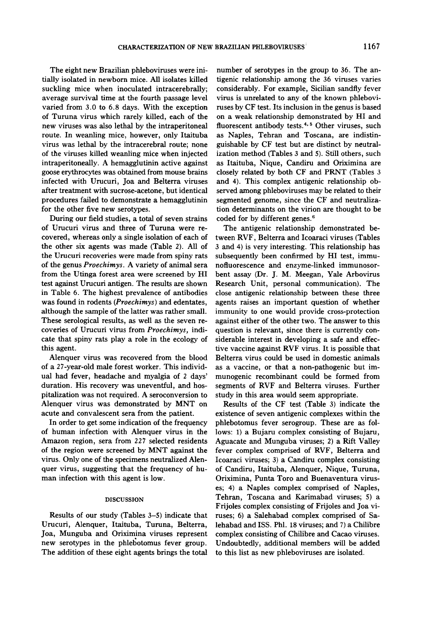The eight new Brazilian phleboviruses were initialIy isolated in newborn mice. AlI isolates kilIed suckling mice when inoculated intracerebrally; average survival time at the fourth passage leveI varied from 3.0 to 6.8 days. With the exception of Turuna virus which rarely kilIed, each of the new viruses was also lethal by the intraperitoneal route. In weanling mice, however, only Itaituba virus was lethal by the intracerebral route; none of the viroses kilIed weanling mice when injected intraperitoneally. A hemagglutinin active against goose erythrocytes was obtained from mouse brains infected with Urucuri, Joa and Belterra viruses after treatment with sucrose-acetone, but identical procedures failed to demonstrate a hemagglutinin for the other five new serotypes.

During our field studies, a total of seven strains of Urucuri virus and three of Turuna were recovered, whereas only a single isolation of each of the other six agents was made (Table 2). AlI of the Urucuri recoveries were made from spiny rats of the genus Proechimys. A variety of animal sera from the Utinga forest area were screened by HI test against Urucuri antigen. The results are shown in Table 6. The highest prevalence of antibodies was found in rodents (Proechimys) and edentates, although the sample of the latter was rather small. These serological results, as welI as the seven recoveries of Urucuri virus from Proechimys, indicate that spiny rats play a role in the ecology of this agent.

Alenquer virus was recovered from the blood of a 27-year-old male forest worker. This individual had fever, headache and myalgia of 2 days' duration. His recovery was uneventful, and hospitalization was not required. A seroconversion to Alenquer virus was demonstrated by MNT on acute and convalescent sera from the patient.

In order to get some indication of the frequency of human infection with Alenquer virus in the Amazon region, sera from 227 selected residents of the region were screened by MNT against the virus. Only one of the specimens neutralized Alenquer virus, suggesting that the frequency of human infection with this agent is low.

#### DISCUSSION

Results of our study (Tables  $3-5$ ) indicate that Urucuri, Alenquer, Itaituba, Turuna, Belterra, Joa, Munguba and Oriximina viruses represent new serotypes in the phlebotomus fever group. The addition of these eight agents brings the total~

number of serotypes in the group to 36. The antigenic relationship among the 36 viruses varies considerably. For example, Sicilian sandfly fever virus is unrelated to any of the known phleboviruses by CF test. Its inclusion in the genus is based on a weak relationship demonstrated by HI and fluorescent antibody tests.<sup>4, 5</sup> Other viruses, such as Naples, Tehran and Toscana, are indistinguishable by CF test but are distinct by neutralization method (Tables 3 and 5). Still others, such as ltaituba, Nique, Candiru and Oriximina are closely related by both CF and PRNT (Tables 3 and 4). This complex antigenic relationship observed among phleboviruses may be related to their segmented genome, since the CF and neutralization determinants on the virion are thought to be coded for by different genes.<sup>6</sup>

The antigenic relationship demonstrated between RVF, Belterra and Icoaraci viruses (Tables 3 and 4) is very interesting. This relationship has subsequently been confirmed by HI test, immunofluorescence and enzyme-linked immunosorbent assay (Dr. J. M. Meegan, Yale Arbovirus Research Unit, personal communication). The close antigenic relationship between these three agents raises an important question of whether immunity to one would provide cross-protection against either of the other two. The answer to this question is relevant, since there is currently considerable interest in developing a safe and effective vaccine against RVF virus. It is possible that Belterra virus could be used in domestic animais as a vaccine, or that a non-pathogenic but immunogenic recombinant could be formed from segments of RVF and Belterra viruses. Further study in this area would seem appropriate.

Results of the CF test (Table 3) indicate the existence of seven antigenic complexes within the phlebotomus fever serogroup. These are as follows: 1) a Bujaru complex consisting of Bujaru, Aguacate and Munguba viruses; 2) a Rift Valley fever complex comprised of RVF, Belterra and Icoaraci viruses; 3) a Candiro complex consisting of Candiru, ltaituba, Alenquer, Nique, Turuna, Oriximina, Punia Toro and Buenaventura viruses; 4) a Naples complex comprised of Naples, Tehran, Toscana and Karimabad viruses; 5) a Frijoles complex consisting of Frijoles and Joa viruses; 6) a Salehabad complex comprised of Salehabad and ISS. Phl. 18 viruses; and 7) a Chilibre complex consisting of Chilibre and Cacao viruses. Undoubtedly, additional members will be added to this list as new phleboviruses are isolated.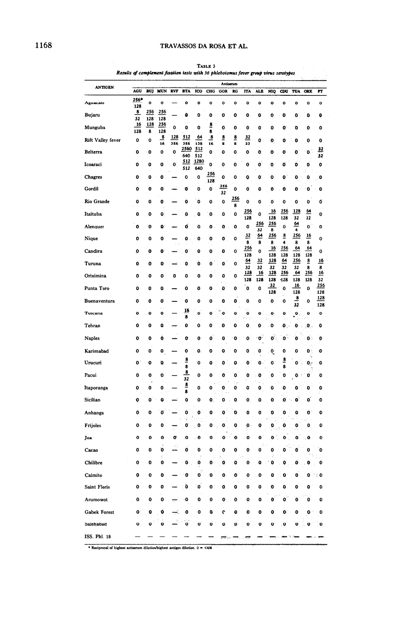| <b>ANTIGEN</b>           |             |            |                 |            |               |             |                | Antiserum  |               |            |              |            |               |                                |                 |                 |
|--------------------------|-------------|------------|-----------------|------------|---------------|-------------|----------------|------------|---------------|------------|--------------|------------|---------------|--------------------------------|-----------------|-----------------|
|                          | <b>AGU</b>  | <b>BUJ</b> | <b>MUN</b>      | <b>RVF</b> | <b>BTA</b>    | <b>ICO</b>  | CHG            | <b>GOR</b> | RG            | <b>ITA</b> | <b>ALE</b>   | <b>NIQ</b> | CDU           | <b>TUA</b>                     | ORX             | Ħ               |
| Aguacate                 | 256*<br>128 | o          | 0               |            | 0             | o           | 0              | 0          | 0             | o          | 0            | o          | o             | 0                              | 0               | 0               |
| Bujaru                   | 8<br>32     | 256<br>128 | 256<br>128      |            | ٥.            | 0           | 0              | 0          | 0             | 0          | 0            | 0          | O             | 0                              | 0               | 0               |
| Munguba                  | 16<br>128   | 128<br>8   | 256<br>128      | 0          | 0             | 0           | 8<br>8         | ٥          | o             | 0          | 0            | 0          | o             | 0                              | 0               | 0               |
| <b>Rift Valley fever</b> | 0           | 0          | <u>.8</u><br>16 | 128<br>256 | 512<br>256    | 64<br>128   | $\bf{8}$<br>16 | 8<br>8     | <u>8</u><br>8 | 32<br>32   | 0            | 0          | 0             | 0                              | 0               | 0               |
| Belterra                 | 0           | 0          | 0               | 0          | 2560<br>640   | 512<br>512  | 0              | 0          | 0             | o          | 0            | ۰          | o             | o                              | o               | <u>32</u><br>32 |
| Icoaraci                 | 0           | 0          | 0               | 0          | 512<br>512    | 1280<br>640 | 0              | 0          | 0             | 0          | o            | 0          | ٥             | o                              | 0               | 0               |
| Chagres                  | 0           | 0          | 0               |            | 0             | 0           | 256<br>128     | 0          | 0             | 0          | 0            | 0          | 0             | 0                              | ٥               | 0               |
| Gordil                   | o           | 0          | o               |            | o             | 0           | 0              | 256<br>32  | 0             | 0          | 0            | 0          | 0             | o                              | ٥               | 0               |
| Rio Grande               | o           | 0          | 0               |            | ٥             | ٥           | 0              | 0          | 256<br>8      | 0          | 0            | o          | 0             | 0                              | 0               | Ő               |
| Itaituba                 | 0           | 0          | 0               |            | 0             | Q           | ٥              | 0          | 0             | 256<br>128 | 0            | 16<br>128  | 256<br>128    | 128<br>32                      | <u>64</u><br>32 | O               |
| Alenquer                 | O           | o          | ٥               |            | Ó             | 0           | o              | 0          | 0             | 0          | 256<br>32    | 256<br>8   | 0             | 64<br>4                        | 0               | 0               |
| Nique                    | 0           | 0          | 0               |            | 0             | 0           | O              | 0          | 0             | 32<br>8    | 64<br>8      | 256<br>8   | 8<br>4        | 256<br>8                       | 16<br>8         | 0               |
| Candiru                  | 0           | o          | o               |            | 0             | 0           | 0              | 0          | 0             | 256<br>128 | 0            | 16<br>128  | 256<br>128    | 64<br>128                      | 64<br>128       | 0               |
| Turuna                   | 0           | 0          | 0               |            | 0             | Ò           | 0              | 0          | 0             | 64         | 32           | 128        | 64            | 256                            | <u>8</u>        | <u>16</u>       |
| Oriximina                | 0           | O          | 0               | 0          | 0             | 0           | 0              | 0          | 0             | 32<br>128  | 32<br>16     | 32<br>128  | 32<br>256     | 32<br>64                       | 8<br>256        | 8<br>16         |
| Punta Toro               | 0           | 0          | 0               |            | 0             | 0           | o              | 0          | 0             | 128<br>0   | 128<br>0     | 128<br>32  | $-128$<br>0   | 128<br>16                      | 128<br>0        | 32<br>256       |
| <b>Buenaventura</b>      | 0           | 0          | Ò               |            | 0             | 0           | 0              | 0          | ٥             | o          | 0            | 128<br>O   | 0             | 128<br>$\overline{\mathbf{8}}$ | 0               | 128<br>128      |
| Toscana                  | 0           | ٥          | 0               |            | <u>16</u>     | 0           | 0              | o          | 0             | 0          | 0            | o          | o             | 32<br>$\mathbf{Q}$             | 0               | 128<br>O        |
| Tehran                   | ٥           | 0          | ٥               |            | 8<br>0        | ٥           | 0              | 0          | ٥             | f.<br>0    | 0            | 0          | 0.            | 0                              | О.              | 0               |
| <b>Naples</b>            | 0           | 0          | o               |            | 0             | 0           | 0              | 0          | o             | 0          |              | o          | 0             | 0                              | 0               | o               |
| Karimabad                | 0           | 0          | 0               |            | 0             | O.          | 0              | 0          | 0             | 0          | 0            | ó.         | 0             | 0                              | 0               | 0               |
| Urucuri                  | 0           | 0          | O.              |            | $\frac{8}{8}$ | 0           | O              | ٥          | 0             | o          | $\mathbf{0}$ | 0          | <u>s</u><br>8 | ۵                              | O,              | 0               |
| Pacui                    | 0           | 0          | o               |            | 8<br>32       | 0           | 0              | o          | 0             | 0          | o            | 0          | 0             | ٥                              | 0               | o               |
| Itaporanga               | 0           | 0          | 0               |            | $\frac{8}{8}$ | 0           | 0              | 0          | 0             | 0          | 0            | 0          | 0             | ٥                              | 0               | 0               |
| Sicilian                 | 0           | 0          | 0               |            | o             | 0           | 0              | 0          | 0             | 0          | 0            | 0          | 0             | o                              | ٥               | 0               |
| Anhanga                  | 0           | 0          | o               |            | o             | 0           | ٥              | O          | Û             | 0          | 0            | 0          | O             | 0                              | 0               | 0               |
| Frijoles                 | 0           | 0          | 0               |            | o             | 0           | 0              | o          | 0             | 0          | Q            | 0          | 0             | 0                              | 0.              | 0               |
| Joa                      | $\mathbf o$ | ٥          | o               | o          | ٥             | n           | n              | ω          | o             | ٥          | Ω            | n          | ŋ             | n                              | ۵               | ٥               |
| Cacao                    | 0           | 0          | ž.<br>O         |            | 0             | Ó           | 0              | ٥          | o             | 0          | 0            | 0          | 0             | 0                              | 0               | ٥               |
| Chilibre                 | 0           | 0          | 0               |            | 0             | 0           | ۰              | o          | 0             |            |              | 0          | ۰             | 0                              | o               | o               |
| Caimito                  | 0           | 0          | o               |            | 0             | ٥           | 0              | 0          | ٥             | 0          | 0            | 0          | 0             | ٥                              | 0               | ਿ0              |
| Saint Floris             | 0           | 0          | 0               |            | Ò             | 0           | 0              | 0          | 0             | 0          | 0            | 0          | 0             | 0                              | 0               | 0               |
| Arumowot                 | 0           | 0          | 0               |            | 0             | ٥           | 0              | 0          | 0             | 0          | o            | ٥          | 0             | O                              | 0               | 0               |
| Gabek Forest             | 0           | 0          | o               |            | 0             | 0           | ø              | c          | 0             | o          | 0            | 0          | 0             | 0                              | ۰               | o               |
| Salehabad                | 0           | 0          | 0               |            | 0             | 0           | 0              | 0          | ٥             | 0          | 0            | 0          | <b>O</b>      | o                              | 0               | 0               |
| ISS. Phl. 18             |             |            |                 |            |               |             |                |            |               |            |              |            |               |                                |                 |                 |

TABLE 3 Results of complement fixation tests with 36 phlebotomus fever group virus serotypes

\* Reciprocal of highest antiserum dilution/highest antigen dilution. 0 = <4/4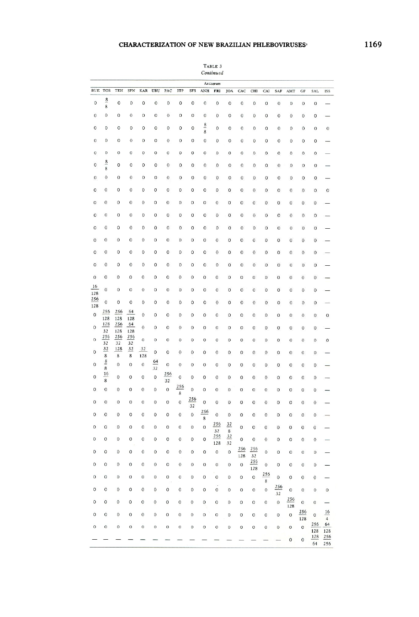# CHARACTERIZATION OF NEW BRAZILIAN PHLEBOVIRUSES

|                               |                    |                  |                  |             |                  |              |              |                  |                    | TABLE 3<br>Continued |                     |                  |              |                  |                  |                  |                  |                  |                                  |
|-------------------------------|--------------------|------------------|------------------|-------------|------------------|--------------|--------------|------------------|--------------------|----------------------|---------------------|------------------|--------------|------------------|------------------|------------------|------------------|------------------|----------------------------------|
|                               |                    |                  |                  |             |                  |              |              |                  |                    | Antiserum            |                     |                  |              |                  |                  |                  |                  |                  |                                  |
| $\mathbf B\mathbf U\mathbf E$ | <b>TOS</b>         | TEH              | <b>SFN</b>       | KAR         | URU              | PAC          | <b>ITP</b>   | <b>SFS</b>       | ANH                | FRI                  | JOA                 | CAC              | CHI          | CAI              | SAF              | AMT              | GF               | SAL              | <b>ISS</b>                       |
| 0                             | $\frac{8}{1}$      | $\boldsymbol{0}$ | $\mathbf 0$      | $\mathbf 0$ | $\boldsymbol{0}$ | 0            | $\mathbf{0}$ | 0                | 0                  | 0                    | 0                   | 0                | 0            | 0                | $\bf{0}$         | 0                | $\bf{0}$         | 0                |                                  |
|                               | 8                  |                  |                  |             |                  |              |              |                  |                    |                      |                     |                  |              |                  |                  |                  |                  |                  |                                  |
| 0                             | 0                  | 0                | 0                | 0           | 0                | 0            | 0            | 0                | 0                  | 0                    | 0                   | 0                | 0            | 0                | $\bf{0}$         | $\boldsymbol{0}$ | 0                | 0                |                                  |
| 0                             | 0                  | 0                | 0                | 0           | 0                | 0            | 0            | 0                | $\frac{8}{1}$<br>8 | $\mathbf 0$          | 0                   | 0                | 0            | 0                | 0                | 0                | Ŏ                | $\mathbf 0$      | $\bf{0}$                         |
| 0                             | 0                  | 0                | 0                | 0           | 0                | 0            | 0            | 0                | 0                  | 0                    | 0                   | 0                | 0            | 0                | $\mathbf 0$      | $\bf{0}$         | $\bf{0}$         | $\boldsymbol{0}$ |                                  |
| O                             | 0                  | 0                | 0                | 0           | 0                | 0            | 0            | 0                | 0                  | 0                    | $\mathbf{0}$        | $\mathbf 0$      | 0            | 0                | 0                | 0                | 0                | 0                |                                  |
| 0                             | $\frac{8}{1}$<br>8 | $\circ$          | 0                | $\mathbf 0$ | 0                | $\mathbf 0$  | $\mathbf{0}$ | $\bf{0}$         | 0                  | 0                    | 0                   | 0                | 0            | 0                | $\mathbf 0$      | 0                | 0                | $\bf{0}$         |                                  |
| 0                             | 0                  | 0                | 0                | 0           | 0                | 0            | 0            | 0                | 0                  | 0                    | 0                   | 0                | 0            | 0                | $\mathbf 0$      | $\mathbf 0$      | $\boldsymbol{0}$ | $\boldsymbol{0}$ |                                  |
| 0                             | 0                  | 0                | 0                | 0           | 0                | 0            | 0            | 0                | 0                  | 0                    | $\bf{0}$            | $\bf{0}$         | $\mathbf 0$  | $\bf{0}$         | 0                | 0                | O                | 0                | 0                                |
| 0                             | 0                  | 0                | $\boldsymbol{0}$ | 0           | 0                | 0            | 0            | 0                | 0                  | 0                    | 0                   | 0                | 0            | 0                | 0                | 0                | 0                | 0                |                                  |
| 0                             | 0                  | 0                | $\mathbf 0$      | 0           | 0                | 0            | 0            | 0                | 0                  | 0                    | $\bf{0}$            | $\mathbf 0$      | $\mathbf 0$  | $\mathbf 0$      | 0                | $\mathbf{0}$     | 0                | 0                |                                  |
| 0                             | 0                  | 0                | $\mathbf 0$      | $\mathbf 0$ | 0                | 0            | 0            | 0                | 0                  | 0                    | 0                   | 0                | 0            | 0                | 0                | $\bf 0$          | 0                | 0                |                                  |
| 0                             | $\mathbf{0}$       | 0                | $\mathbf 0$      | $\mathbf 0$ | $\mathbf 0$      | 0            | 0            | 0                | 0                  | 0                    | 0                   | 0                | $\mathbf 0$  | 0                | 0                | 0                | 0                | $\mathbf{0}$     |                                  |
| 0                             | 0                  | 0                | 0                | 0           | 0                | 0            | 0            | 0                | 0                  | $\bf{0}$             | 0                   | $\bf{0}$         | 0            | 0                | 0                | 0                | 0                | 0                |                                  |
| 0                             | $\mathbf{0}$       | 0                | $\mathbf{0}$     | 0           | 0                | 0            | 0            | 0                | 0                  | $\mathbf 0$          | $\mathbf 0$         | 0                | 0            | 0                | 0                | 0                | 0                | 0                |                                  |
| $\mathbf 0$                   | $\bf{0}$           | 0                | 0                | 0           | 0                | 0            | 0            | $\boldsymbol{0}$ | $\mathbf{0}$       | 0                    | 0                   | 0                | 0            | 0                | $\mathbf 0$      | 0                | 0                | 0                |                                  |
| 16<br>128                     | 0                  | 0                | $\circ$          | 0           | 0                | 0            | 0            | 0                | 0                  | $\mathbf 0$          | 0                   | 0                | $\mathbf 0$  | 0                | 0                | 0                | 0                | 0                |                                  |
| 256<br>128                    | 0                  | $\mathbf 0$      | $\bf{0}$         | O           | 0                | 0            | 0            | 0                | 0                  | $\bf{0}$             | $\mathbf 0$         | 0                | $\mathbf 0$  | 0                | 0                | 0                | 0                | $\mathbf{0}$     |                                  |
| $\bf{0}$                      | 256<br>128         | 256<br>128       | 64<br>128        | $\mathbf 0$ | 0                | 0            | 0            | $\bf{0}$         | 0                  | 0                    | 0                   | 0                | 0            | 0                | $\mathbf 0$      | 0                | 0                | 0                | $\boldsymbol{0}$                 |
| 0                             | 128<br>32          | 256<br>128       | 64<br>128        | $\mathbf 0$ | $\mathbf 0$      | 0            | 0            | $\bf{0}$         | 0                  | 0                    | 0                   | 0                | 0            | 0                | $\mathbf 0$      | 0                | $\mathbf 0$      | 0                |                                  |
| $\circ$                       | 256<br>32          | 256<br>32        | 256<br>32        | 0           | 0                | $\circ$      | 0            | 0                | 0                  | 0                    | 0                   | 0                | 0            | 0                | $\circ$          | $\mathbf 0$      | $\mathbf 0$      | 0                | $\circ$                          |
| 0                             | 32<br>8            | 128<br>8         | 32<br>8          | 32<br>128   | 0                | $\circ$      | $\bf{0}$     | $\bf{0}$         | 0                  | 0                    | 0                   | 0                | 0            | 0                | $\mathbf 0$      | 0                | $\circ$          | 0                |                                  |
| 0                             | $\frac{8}{5}$<br>8 | $\mathbf 0$      | $\bf{0}$         | 0           | 64<br>32         | 0            | 0            | 0                | $\mathbf 0$        | 0                    | 0                   | 0                | 0            | 0                | 0                | 0                | $\mathbf 0$      | 0                |                                  |
| 0                             | 16<br>8            | 0                | $\mathbf 0$      | 0           | 0                | 256<br>32    | 0            | 0                | 0                  | 0                    | 0                   | $\bf{0}$         | 0            | 0                | $\circ$          | 0                | $\circ$          | 0                |                                  |
| 0                             | 0                  | 0                | 0                | 0           | 0                | $\mathbf 0$  | 256<br>8     | 0                | 0                  | 0                    | 0                   | $\bf{0}$         | 0            | $\bf{0}$         | 0                | 0                | $\mathbf 0$      | 0                |                                  |
| 0                             | 0                  | 0                | 0                | 0           | 0                | 0            | 0            | <u>256</u><br>32 | 0                  | $\boldsymbol{0}$     | 0                   | $\boldsymbol{0}$ | 0            | $\boldsymbol{0}$ | $\mathbf{0}$     | 0                | $\boldsymbol{0}$ | $\bf{0}$         |                                  |
| 0                             | $\mathbf{O}$       | 0                | 0                | 0           | 0                | $\circ$      | 0            | $\mathbf 0$      | 256<br>8           | $\mathbf 0$          | 0                   | $\bf{0}$         | $\bf{0}$     | $\bf{0}$         | $\mathbf 0$      | 0                | $\mathbf 0$      | $\mathbf 0$      |                                  |
| 0                             | 0                  | 0                | 0                | 0           | 0                | 0            | 0            | 0                | $\mathbf 0$        | 256<br>32            | $\frac{32}{5}$<br>8 | $\mathbf 0$      | 0            | $\mathbf 0$      | $\mathbf 0$      | 0                | 0                | 0                |                                  |
| 0                             | 0                  | 0                | $\mathbf 0$      | 0           | $\mathbf 0$      | 0            | 0            | 0                | $\mathbf 0$        | 256<br>128           | 32<br>32            | $\mathbf 0$      | $\mathbf{0}$ | $\bf{0}$         | $\mathbf{0}$     | 0                | $\mathbf 0$      | 0                |                                  |
| $\,0\,$                       | 0                  | 0                | $\boldsymbol{0}$ | $\bf{0}$    | $\boldsymbol{0}$ | $\mathbf 0$  | $\bf{0}$     | $\,0\,$          | 0                  | 0                    | $\boldsymbol{0}$    | 256<br>128       | 256<br>32    | $\mathbf{0}$     | $\circ$          | 0                | $\circ$          | $\boldsymbol{0}$ |                                  |
| $\bf{0}$                      | 0                  | $\mathbf 0$      | $\boldsymbol{0}$ | 0           | $\boldsymbol{0}$ | 0            | $\bf{0}$     | 0                | $\bf{0}$           | 0                    | $\boldsymbol{0}$    | $\boldsymbol{0}$ | 256<br>128   | $\mathbf 0$      | $\mathbf 0$      | $\mathbf{0}$     | $\circ$          | 0                |                                  |
| 0                             | $\mathbf 0$        | $\mathbf 0$      | $\mathbf 0$      | 0           | $\bf{0}$         | 0            | $\,0\,$      | 0                | 0                  | $\mathbf 0$          | 0                   | $\bf{0}$         | 0            | 256<br>8         | $\boldsymbol{0}$ | $\boldsymbol{0}$ | $\,0\,$          | $\,0\,$          |                                  |
| $\,$ $\,$                     | $\mathbf 0$        | $\mathbf 0$      | $\mathbf 0$      | 0           | 0                | $\rm{O}$     | 0            | 0                | $\mathbf 0$        | 0                    | 0                   | $\,$ O           | $\,$ O       | $\boldsymbol{0}$ | 256<br>32        | $\mathbf 0$      | $\boldsymbol{0}$ | $\mathbf 0$      | $\,0\,$                          |
| 0                             | $\mathbf 0$        | $\bf{0}$         | $\circ$          | $\mathbf 0$ | $\boldsymbol{0}$ | $\mathbf 0$  | 0            | $\bf{0}$         | 0                  | 0                    | 0                   | $\boldsymbol{0}$ | 0            | $\boldsymbol{0}$ | $\,$ O           | 256<br>128       | 0                | 0                |                                  |
| 0                             | $\mathbf O$        | $\mathbf 0$      | $\mathbf 0$      | $\mathbf 0$ | $\boldsymbol{0}$ | $\mathbf{0}$ | $\mathbf 0$  | $\mathbf 0$      | 0                  | 0                    | 0                   | 0                | 0            | 0                | 0                | $\boldsymbol{0}$ | 256<br>128       | 0                | $\frac{16}{1}$<br>$\overline{4}$ |
| 0                             | $\mathbf 0$        | $\bf{0}$         | $\mathbf 0$      | $\circ$     | $\circ$          | $\circ$      | 0            | $\circ$          | 0                  | $\circ$              | 0                   | $\mathbf 0$      | 0            | 0                | 0                | $\,0\,$          | $\circ$          | 256<br>128       | 64<br>128                        |
|                               |                    |                  |                  |             |                  |              |              |                  |                    |                      |                     |                  |              |                  |                  | $\boldsymbol{0}$ | $\,0\,$          | 128<br>64        | 256<br>256                       |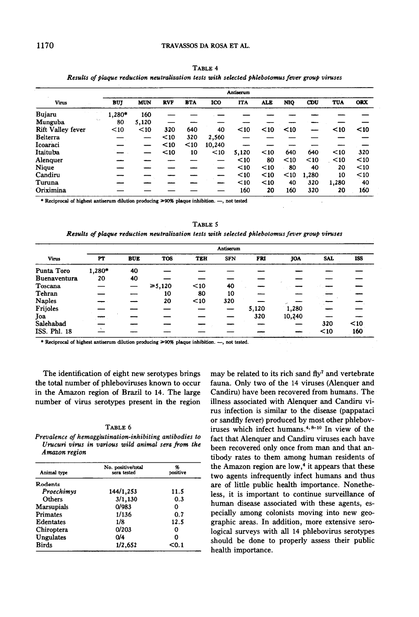|                          |            |            |            |            |        | Antiserum  |            |            |       |            |            |
|--------------------------|------------|------------|------------|------------|--------|------------|------------|------------|-------|------------|------------|
| <b>Virus</b>             | <b>BUT</b> | <b>MUN</b> | <b>RVF</b> | <b>BTA</b> | ICO    | <b>ITA</b> | <b>ALE</b> | <b>NIO</b> | CDU   | <b>TUA</b> | <b>ORX</b> |
| Bujaru                   | 1.280*     | 160        |            |            |        |            |            |            |       |            |            |
| Munguba                  | 80         | 5.120      |            |            |        |            |            |            |       |            |            |
| <b>Rift Valley fever</b> | < 10       | $10$       | 320        | 640        | 40     | $10$       | $10$       | $10$       |       | $10$       | $10$       |
| <b>Belterra</b>          |            |            | $10$       | 320        | 2,560  |            |            |            |       |            |            |
| Icoaraci                 |            |            | $10$       | $10$       | 10.240 |            |            |            |       |            |            |
| Itaituba                 |            |            | $10$       | 10         | $10$   | 5,120      | $10$       | 640        | 640   | $10$       | 320        |
| Alenquer                 |            |            |            |            |        | $10$       | 80         | $10$       | $10$  | $\leq 10$  | $10$       |
| Nique                    |            |            |            |            |        | $10$       | $10$       | 80         | 40    | 20         | $10$       |
| Candiru                  |            |            |            |            |        | $10$       | $10$       | $10$       | 1,280 | 10         | $10$       |
| Turuna                   |            |            |            |            |        | $10$       | $10$       | 40         | 320   | 1.280      | 40         |
| Oriximina                |            |            |            |            |        | 160        | 20         | 160        | 320   | 20         | 160        |

TABLE 4 Results of plaque reduction neutralization tests with selected phlebotomus fever group viruses

\* Reciprocal of highest antiserum dilution producing >90% plaque inhibition. -, not tested

TABLE 5 Results of plaque reduction neutralization tests with selected phlebotomus fever group viruses

|                     |        |            |            |            | Antiserum  |       |            |      |            |
|---------------------|--------|------------|------------|------------|------------|-------|------------|------|------------|
| <b>Virus</b>        | PT     | <b>BUE</b> | <b>TOS</b> | <b>TEH</b> | <b>SFN</b> | FRI   | <b>JOA</b> | SAL  | <b>ISS</b> |
| Punta Toro          | 1,280* | 40         |            |            |            |       |            |      |            |
| <b>Buenaventura</b> | 20     | 40         |            |            |            |       |            |      |            |
| Toscana             |        |            | ≥ 5,120    | $10$       | 40         |       |            |      |            |
| Tehran              |        |            | 10         | 80         | 10         |       |            |      |            |
| <b>Naples</b>       |        |            | 20         | $10$       | 320        |       |            |      |            |
| Frijoles            |        |            |            |            |            | 5,120 | 1,280      |      |            |
| Joa                 |        |            |            |            |            | 320   | 10,240     |      |            |
| Salehabad           |        |            |            |            |            |       |            | 320  | $10$       |
| ISS. Phl. 18        |        |            |            |            |            |       |            | $10$ | 160        |

\* Reciprocal of highest antiserum dilution producing  $\geq 90\%$  plaque inhibition. --, not tested.

The identification of eight new serotypes brings the total number of phleboviruses known to occur in the Amazon region of Brazil to 14. The large number of virus serotypes present in the region

| ш |
|---|
|---|

Prevalence of hemagglutination-inhibiting antibodies to Urucuri virus in various wild animal sera from the Amazon region

| Animal type | No. positive/total<br>sera tested | %<br>positive |
|-------------|-----------------------------------|---------------|
| Rodents     |                                   |               |
| Proechimys  | 144/1,253                         | 11.5          |
| Others      | 3/1,130                           | 0.3           |
| Marsupials  | 0/983                             | 0             |
| Primates    | 1/136                             | 0.7           |
| Edentates   | 1/8                               | 12.5          |
| Chiroptera  | 0/203                             | 0             |
| Ungulates   | 0/4                               | 0             |
| Birds       | 1/2,652                           | $0.1$         |

may be related to its rich sand  $f\rightarrow V^7$  and vertebrate fauna. Only two of the 14 viruses (Alenquer and Candiru) have been recovered from humans. The illness associated with Alenquer and Candiru virus infection is similar to the disease (pappataci or sandfly fever) produced by most other phleboviruses which infect humans.4.8-10 In view of the fact that Alenquer and Candiru viruses each have been recovered only once from man and that antibody rates to them among human residents of the Amazon region are  $\text{low},4$  it appears that these two agents infrequently infect humans and thus are of little public health importance. Nonetheless, it is important to continue surveillance of human disease associated with these agents, especially among colonists moving into new geographic areas. In addition, more extensive serological surveys with alI 14 phlebovirus serotypes should be done to properly assess their public health importance.